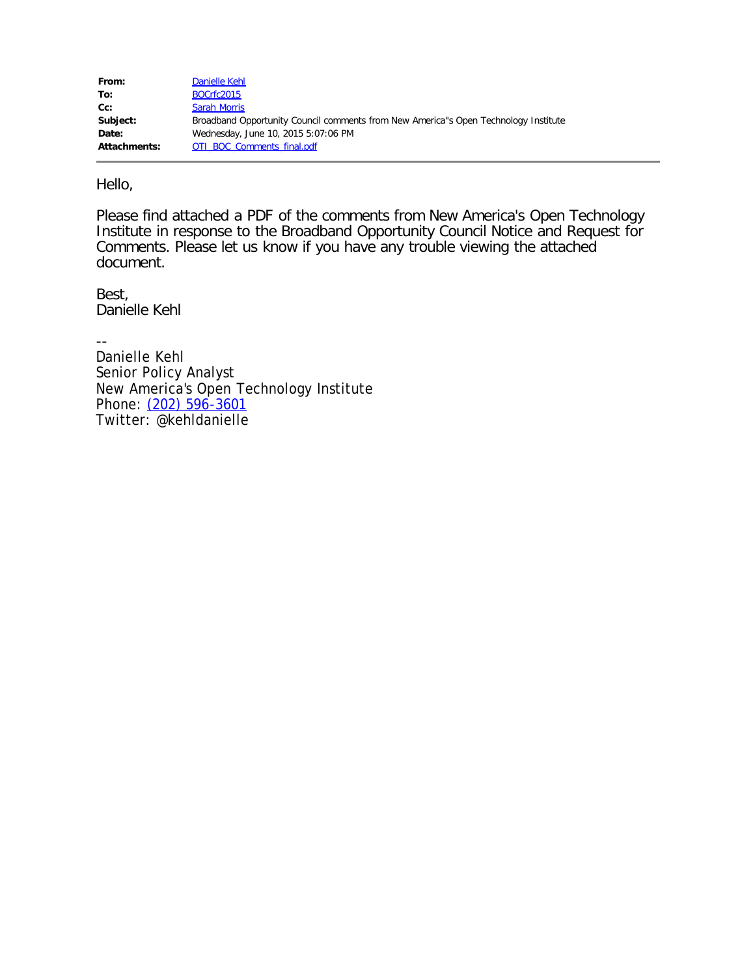| From:        | Danielle Kehl                                                                       |
|--------------|-------------------------------------------------------------------------------------|
| To:          | BOCrfc2015                                                                          |
| $Cc$ :       | <b>Sarah Morris</b>                                                                 |
| Subject:     | Broadband Opportunity Council comments from New America"s Open Technology Institute |
| Date:        | Wednesday, June 10, 2015 5:07:06 PM                                                 |
| Attachments: | OTI BOC Comments final.pdf                                                          |

Hello,

Please find attached a PDF of the comments from New America's Open Technology Institute in response to the Broadband Opportunity Council Notice and Request for Comments. Please let us know if you have any trouble viewing the attached document.

Best, Danielle Kehl

-- Danielle Kehl Senior Policy Analyst New America's Open Technology Institute Phone: [\(202\) 596-3601](tel:%28202%29%20596-3601) Twitter: @kehldanielle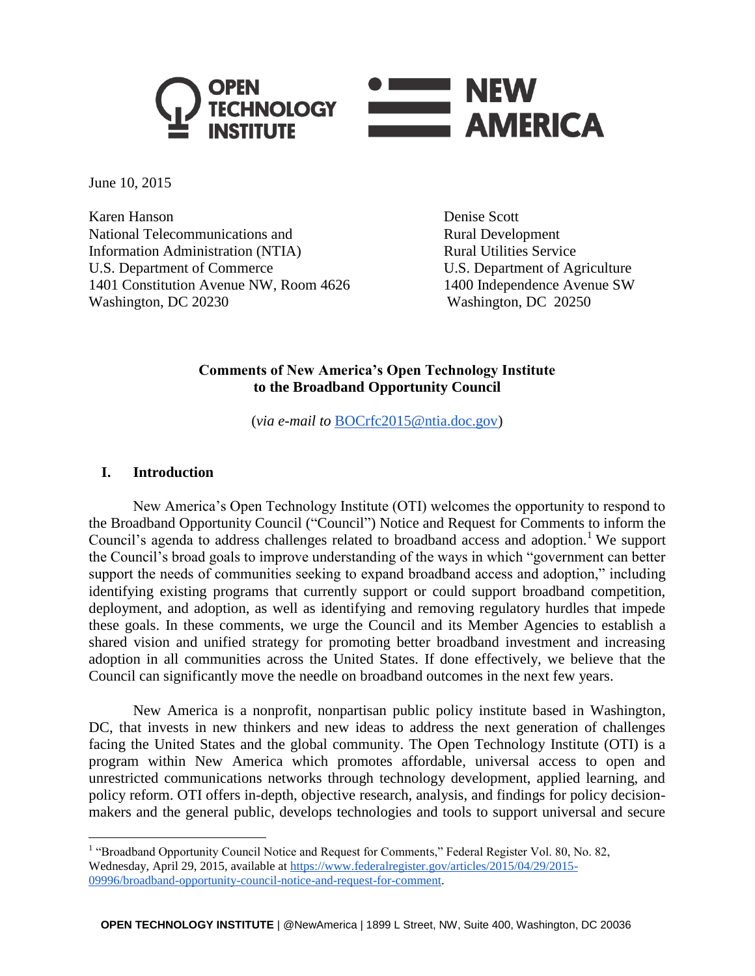

June 10, 2015

Karen Hanson Denise Scott National Telecommunications and Rural Development Information Administration (NTIA) Rural Utilities Service U.S. Department of Commerce U.S. Department of Agriculture 1401 Constitution Avenue NW, Room 4626 1400 Independence Avenue SW Washington, DC 20230 Washington, DC 20250

## **Comments of New America's Open Technology Institute to the Broadband Opportunity Council**

(*via e-mail to* [BOCrfc2015@ntia.doc.gov\)](mailto:BOCrfc2015@ntia.doc.gov)

### **I. Introduction**

 $\overline{a}$ 

New America's Open Technology Institute (OTI) welcomes the opportunity to respond to the Broadband Opportunity Council ("Council") Notice and Request for Comments to inform the Council's agenda to address challenges related to broadband access and adoption.<sup>1</sup> We support the Council's broad goals to improve understanding of the ways in which "government can better support the needs of communities seeking to expand broadband access and adoption," including identifying existing programs that currently support or could support broadband competition, deployment, and adoption, as well as identifying and removing regulatory hurdles that impede these goals. In these comments, we urge the Council and its Member Agencies to establish a shared vision and unified strategy for promoting better broadband investment and increasing adoption in all communities across the United States. If done effectively, we believe that the Council can significantly move the needle on broadband outcomes in the next few years.

New America is a nonprofit, nonpartisan public policy institute based in Washington, DC, that invests in new thinkers and new ideas to address the next generation of challenges facing the United States and the global community. The Open Technology Institute (OTI) is a program within New America which promotes affordable, universal access to open and unrestricted communications networks through technology development, applied learning, and policy reform. OTI offers in-depth, objective research, analysis, and findings for policy decisionmakers and the general public, develops technologies and tools to support universal and secure

<sup>&</sup>lt;sup>1</sup> "Broadband Opportunity Council Notice and Request for Comments," Federal Register Vol. 80, No. 82, Wednesday, April 29, 2015, available at [https://www.federalregister.gov/articles/2015/04/29/2015-](https://www.federalregister.gov/articles/2015/04/29/2015-09996/broadband-opportunity-council-notice-and-request-for-comment) [09996/broadband-opportunity-council-notice-and-request-for-comment.](https://www.federalregister.gov/articles/2015/04/29/2015-09996/broadband-opportunity-council-notice-and-request-for-comment)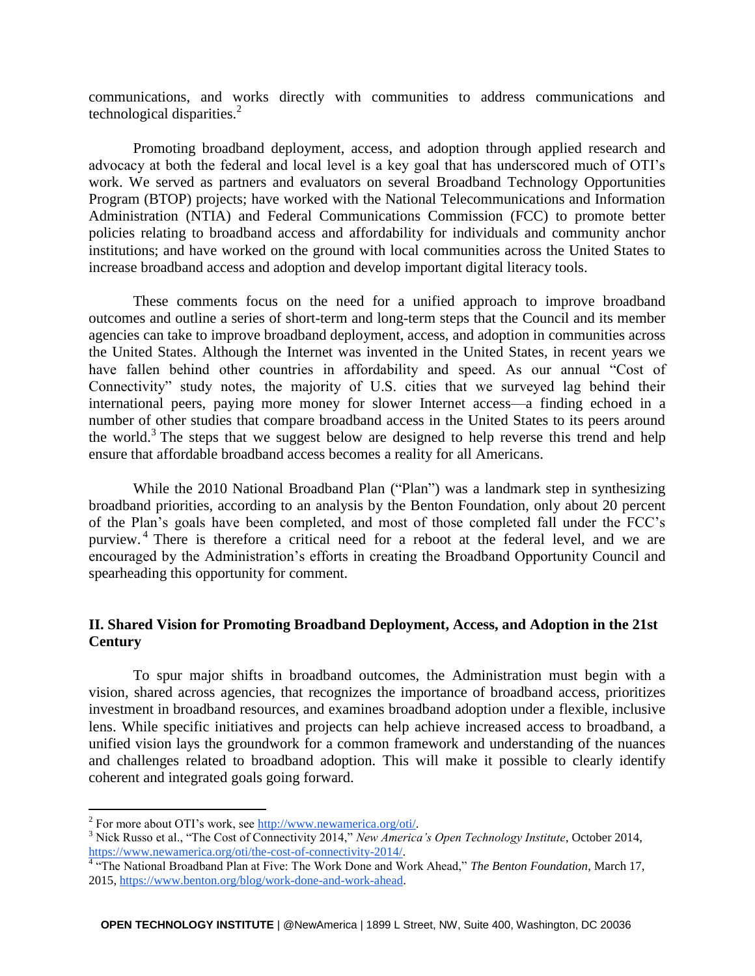communications, and works directly with communities to address communications and technological disparities.<sup>2</sup>

Promoting broadband deployment, access, and adoption through applied research and advocacy at both the federal and local level is a key goal that has underscored much of OTI's work. We served as partners and evaluators on several Broadband Technology Opportunities Program (BTOP) projects; have worked with the National Telecommunications and Information Administration (NTIA) and Federal Communications Commission (FCC) to promote better policies relating to broadband access and affordability for individuals and community anchor institutions; and have worked on the ground with local communities across the United States to increase broadband access and adoption and develop important digital literacy tools.

These comments focus on the need for a unified approach to improve broadband outcomes and outline a series of short-term and long-term steps that the Council and its member agencies can take to improve broadband deployment, access, and adoption in communities across the United States. Although the Internet was invented in the United States, in recent years we have fallen behind other countries in affordability and speed. As our annual "Cost of Connectivity" study notes, the majority of U.S. cities that we surveyed lag behind their international peers, paying more money for slower Internet access—a finding echoed in a number of other studies that compare broadband access in the United States to its peers around the world.<sup>3</sup> The steps that we suggest below are designed to help reverse this trend and help ensure that affordable broadband access becomes a reality for all Americans.

While the 2010 National Broadband Plan ("Plan") was a landmark step in synthesizing broadband priorities, according to an analysis by the Benton Foundation, only about 20 percent of the Plan's goals have been completed, and most of those completed fall under the FCC's purview.<sup>4</sup> There is therefore a critical need for a reboot at the federal level, and we are encouraged by the Administration's efforts in creating the Broadband Opportunity Council and spearheading this opportunity for comment.

## **II. Shared Vision for Promoting Broadband Deployment, Access, and Adoption in the 21st Century**

To spur major shifts in broadband outcomes, the Administration must begin with a vision, shared across agencies, that recognizes the importance of broadband access, prioritizes investment in broadband resources, and examines broadband adoption under a flexible, inclusive lens. While specific initiatives and projects can help achieve increased access to broadband, a unified vision lays the groundwork for a common framework and understanding of the nuances and challenges related to broadband adoption. This will make it possible to clearly identify coherent and integrated goals going forward.

<sup>&</sup>lt;sup>2</sup> For more about OTI's work, see http://www.newamerica.org/oti/.

<sup>3</sup> Nick Russo et al., "The Cost of Connectivity 2014," *New America's Open Technology Institute*, October 2014, [https://www.newamerica.org/oti/the-cost-of-connectivity-2014/.](https://www.newamerica.org/oti/the-cost-of-connectivity-2014/) 4 "The National Broadband Plan at Five: The Work Done and Work Ahead," *The Benton Foundation*, March 17,

<sup>2015,</sup> [https://www.benton.org/blog/work-done-and-work-ahead.](https://www.benton.org/blog/work-done-and-work-ahead)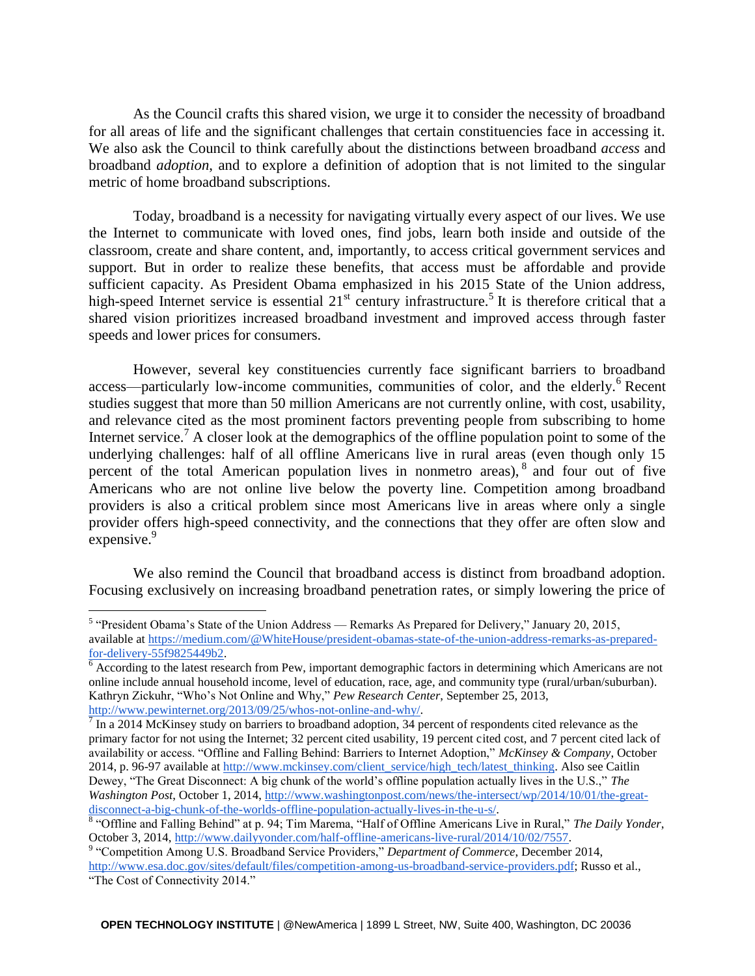As the Council crafts this shared vision, we urge it to consider the necessity of broadband for all areas of life and the significant challenges that certain constituencies face in accessing it. We also ask the Council to think carefully about the distinctions between broadband *access* and broadband *adoption*, and to explore a definition of adoption that is not limited to the singular metric of home broadband subscriptions.

Today, broadband is a necessity for navigating virtually every aspect of our lives. We use the Internet to communicate with loved ones, find jobs, learn both inside and outside of the classroom, create and share content, and, importantly, to access critical government services and support. But in order to realize these benefits, that access must be affordable and provide sufficient capacity. As President Obama emphasized in his 2015 State of the Union address, high-speed Internet service is essential  $21<sup>st</sup>$  century infrastructure.<sup>5</sup> It is therefore critical that a shared vision prioritizes increased broadband investment and improved access through faster speeds and lower prices for consumers.

However, several key constituencies currently face significant barriers to broadband access—particularly low-income communities, communities of color, and the elderly.<sup>6</sup> Recent studies suggest that more than 50 million Americans are not currently online, with cost, usability, and relevance cited as the most prominent factors preventing people from subscribing to home Internet service.<sup>7</sup> A closer look at the demographics of the offline population point to some of the underlying challenges: half of all offline Americans live in rural areas (even though only 15 percent of the total American population lives in nonmetro areas),<sup>8</sup> and four out of five Americans who are not online live below the poverty line. Competition among broadband providers is also a critical problem since most Americans live in areas where only a single provider offers high-speed connectivity, and the connections that they offer are often slow and expensive. $9^9$ 

We also remind the Council that broadband access is distinct from broadband adoption. Focusing exclusively on increasing broadband penetration rates, or simply lowering the price of

<sup>&</sup>lt;sup>5</sup> "President Obama's State of the Union Address — Remarks As Prepared for Delivery," January 20, 2015, available at [https://medium.com/@WhiteHouse/president-obamas-state-of-the-union-address-remarks-as-prepared](https://medium.com/@WhiteHouse/president-obamas-state-of-the-union-address-remarks-as-prepared-for-delivery-55f9825449b2)[for-delivery-55f9825449b2.](https://medium.com/@WhiteHouse/president-obamas-state-of-the-union-address-remarks-as-prepared-for-delivery-55f9825449b2)

 $\overline{6}$  According to the latest research from Pew, important demographic factors in determining which Americans are not online include annual household income, level of education, race, age, and community type (rural/urban/suburban). Kathryn Zickuhr, "Who's Not Online and Why," *Pew Research Center*, September 25, 2013, [http://www.pewinternet.org/2013/09/25/whos-not-online-and-why/.](http://www.pewinternet.org/2013/09/25/whos-not-online-and-why/)

 $^7$  In a 2014 McKinsey study on barriers to broadband adoption, 34 percent of respondents cited relevance as the primary factor for not using the Internet; 32 percent cited usability, 19 percent cited cost, and 7 percent cited lack of availability or access. "Offline and Falling Behind: Barriers to Internet Adoption," *McKinsey & Company*, October 2014, p. 96-97 available at [http://www.mckinsey.com/client\\_service/high\\_tech/latest\\_thinking.](http://www.mckinsey.com/client_service/high_tech/latest_thinking) Also see Caitlin Dewey, "The Great Disconnect: A big chunk of the world's offline population actually lives in the U.S.," *The Washington Post*, October 1, 2014, [http://www.washingtonpost.com/news/the-intersect/wp/2014/10/01/the-great](http://www.washingtonpost.com/news/the-intersect/wp/2014/10/01/the-great-disconnect-a-big-chunk-of-the-worlds-offline-population-actually-lives-in-the-u-s/)[disconnect-a-big-chunk-of-the-worlds-offline-population-actually-lives-in-the-u-s/.](http://www.washingtonpost.com/news/the-intersect/wp/2014/10/01/the-great-disconnect-a-big-chunk-of-the-worlds-offline-population-actually-lives-in-the-u-s/)

<sup>8</sup> "Offline and Falling Behind" at p. 94; Tim Marema, "Half of Offline Americans Live in Rural," *The Daily Yonder*, October 3, 2014[, http://www.dailyyonder.com/half-offline-americans-live-rural/2014/10/02/7557.](http://www.dailyyonder.com/half-offline-americans-live-rural/2014/10/02/7557)

<sup>&</sup>lt;sup>9</sup> "Competition Among U.S. Broadband Service Providers," *Department of Commerce*, December 2014, [http://www.esa.doc.gov/sites/default/files/competition-among-us-broadband-service-providers.pdf;](http://www.esa.doc.gov/sites/default/files/competition-among-us-broadband-service-providers.pdf) Russo et al., "The Cost of Connectivity 2014."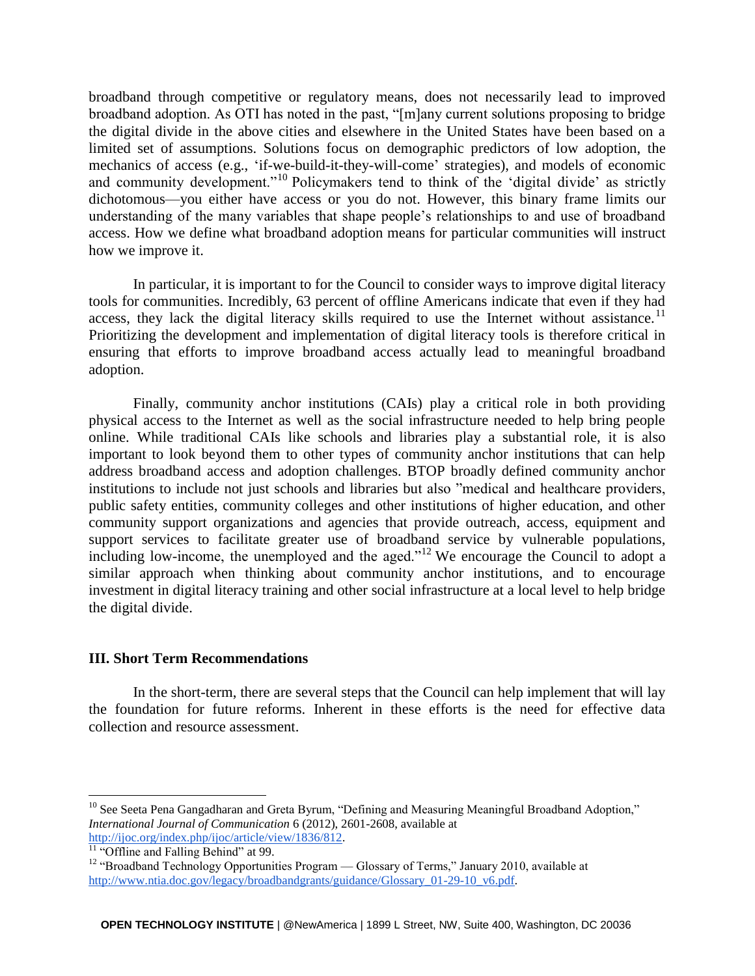broadband through competitive or regulatory means, does not necessarily lead to improved broadband adoption. As OTI has noted in the past, "[m]any current solutions proposing to bridge the digital divide in the above cities and elsewhere in the United States have been based on a limited set of assumptions. Solutions focus on demographic predictors of low adoption, the mechanics of access (e.g., 'if-we-build-it-they-will-come' strategies), and models of economic and community development."<sup>10</sup> Policymakers tend to think of the 'digital divide' as strictly dichotomous—you either have access or you do not. However, this binary frame limits our understanding of the many variables that shape people's relationships to and use of broadband access. How we define what broadband adoption means for particular communities will instruct how we improve it.

In particular, it is important to for the Council to consider ways to improve digital literacy tools for communities. Incredibly, 63 percent of offline Americans indicate that even if they had access, they lack the digital literacy skills required to use the Internet without assistance.<sup>11</sup> Prioritizing the development and implementation of digital literacy tools is therefore critical in ensuring that efforts to improve broadband access actually lead to meaningful broadband adoption.

Finally, community anchor institutions (CAIs) play a critical role in both providing physical access to the Internet as well as the social infrastructure needed to help bring people online. While traditional CAIs like schools and libraries play a substantial role, it is also important to look beyond them to other types of community anchor institutions that can help address broadband access and adoption challenges. BTOP broadly defined community anchor institutions to include not just schools and libraries but also "medical and healthcare providers, public safety entities, community colleges and other institutions of higher education, and other community support organizations and agencies that provide outreach, access, equipment and support services to facilitate greater use of broadband service by vulnerable populations, including low-income, the unemployed and the aged."<sup>12</sup> We encourage the Council to adopt a similar approach when thinking about community anchor institutions, and to encourage investment in digital literacy training and other social infrastructure at a local level to help bridge the digital divide.

#### **III. Short Term Recommendations**

In the short-term, there are several steps that the Council can help implement that will lay the foundation for future reforms. Inherent in these efforts is the need for effective data collection and resource assessment.

<sup>&</sup>lt;sup>10</sup> See Seeta Pena Gangadharan and Greta Byrum, "Defining and Measuring Meaningful Broadband Adoption," *International Journal of Communication* 6 (2012), 2601-2608, available at [http://ijoc.org/index.php/ijoc/article/view/1836/812.](http://ijoc.org/index.php/ijoc/article/view/1836/812)

 $\frac{11}{11}$  "Offline and Falling Behind" at 99.

<sup>&</sup>lt;sup>12</sup> "Broadband Technology Opportunities Program — Glossary of Terms," January 2010, available at http://www.ntia.doc.gov/legacy/broadbandgrants/guidance/Glossary 01-29-10\_v6.pdf.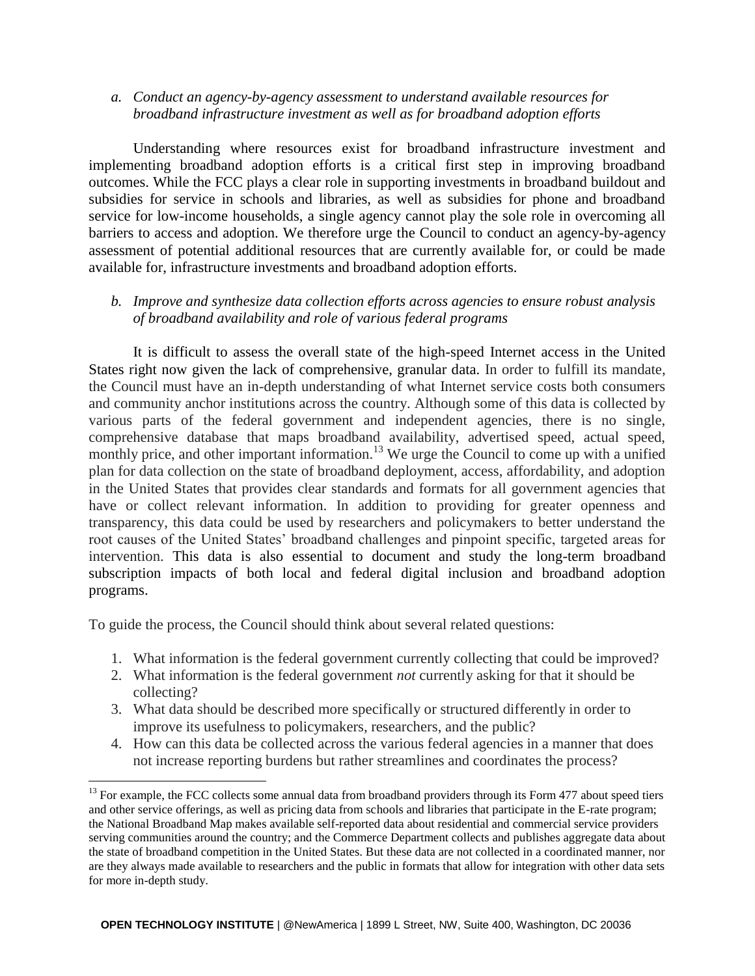# *a. Conduct an agency-by-agency assessment to understand available resources for broadband infrastructure investment as well as for broadband adoption efforts*

Understanding where resources exist for broadband infrastructure investment and implementing broadband adoption efforts is a critical first step in improving broadband outcomes. While the FCC plays a clear role in supporting investments in broadband buildout and subsidies for service in schools and libraries, as well as subsidies for phone and broadband service for low-income households, a single agency cannot play the sole role in overcoming all barriers to access and adoption. We therefore urge the Council to conduct an agency-by-agency assessment of potential additional resources that are currently available for, or could be made available for, infrastructure investments and broadband adoption efforts.

# *b. Improve and synthesize data collection efforts across agencies to ensure robust analysis of broadband availability and role of various federal programs*

It is difficult to assess the overall state of the high-speed Internet access in the United States right now given the lack of comprehensive, granular data. In order to fulfill its mandate, the Council must have an in-depth understanding of what Internet service costs both consumers and community anchor institutions across the country. Although some of this data is collected by various parts of the federal government and independent agencies, there is no single, comprehensive database that maps broadband availability, advertised speed, actual speed, monthly price, and other important information.<sup>13</sup> We urge the Council to come up with a unified plan for data collection on the state of broadband deployment, access, affordability, and adoption in the United States that provides clear standards and formats for all government agencies that have or collect relevant information. In addition to providing for greater openness and transparency, this data could be used by researchers and policymakers to better understand the root causes of the United States' broadband challenges and pinpoint specific, targeted areas for intervention. This data is also essential to document and study the long-term broadband subscription impacts of both local and federal digital inclusion and broadband adoption programs.

To guide the process, the Council should think about several related questions:

- 1. What information is the federal government currently collecting that could be improved?
- 2. What information is the federal government *not* currently asking for that it should be collecting?
- 3. What data should be described more specifically or structured differently in order to improve its usefulness to policymakers, researchers, and the public?
- 4. How can this data be collected across the various federal agencies in a manner that does not increase reporting burdens but rather streamlines and coordinates the process?

<sup>&</sup>lt;sup>13</sup> For example, the FCC collects some annual data from broadband providers through its Form 477 about speed tiers and other service offerings, as well as pricing data from schools and libraries that participate in the E-rate program; the National Broadband Map makes available self-reported data about residential and commercial service providers serving communities around the country; and the Commerce Department collects and publishes aggregate data about the state of broadband competition in the United States. But these data are not collected in a coordinated manner, nor are they always made available to researchers and the public in formats that allow for integration with other data sets for more in-depth study.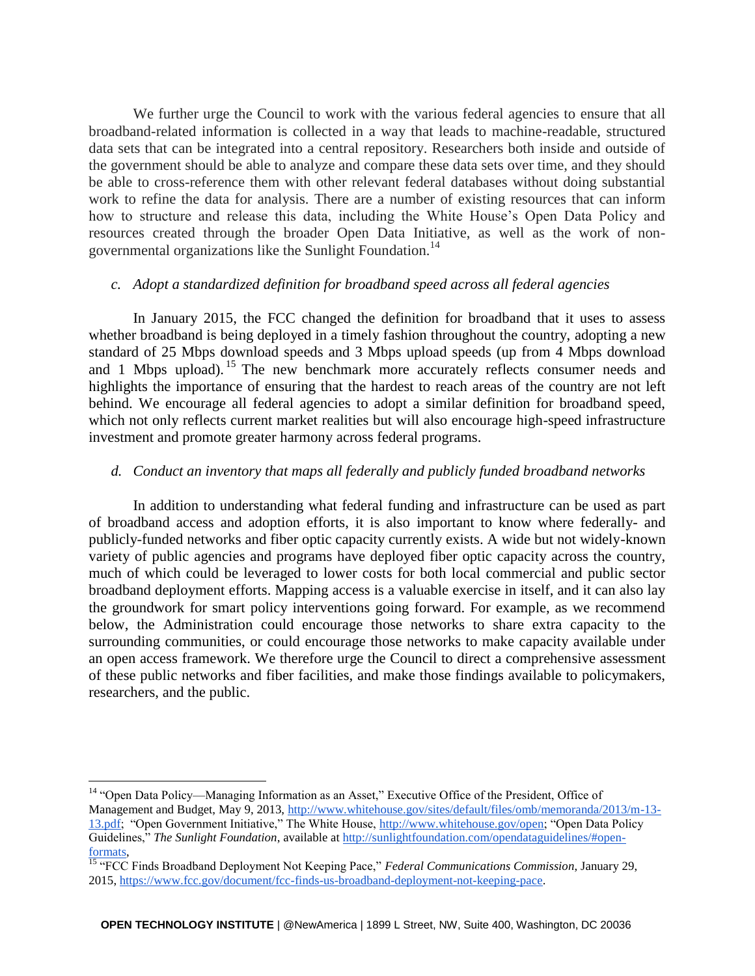We further urge the Council to work with the various federal agencies to ensure that all broadband-related information is collected in a way that leads to machine-readable, structured data sets that can be integrated into a central repository. Researchers both inside and outside of the government should be able to analyze and compare these data sets over time, and they should be able to cross-reference them with other relevant federal databases without doing substantial work to refine the data for analysis. There are a number of existing resources that can inform how to structure and release this data, including the White House's Open Data Policy and resources created through the broader Open Data Initiative, as well as the work of nongovernmental organizations like the Sunlight Foundation.<sup>14</sup>

### *c. Adopt a standardized definition for broadband speed across all federal agencies*

In January 2015, the FCC changed the definition for broadband that it uses to assess whether broadband is being deployed in a timely fashion throughout the country, adopting a new standard of 25 Mbps download speeds and 3 Mbps upload speeds (up from 4 Mbps download and 1 Mbps upload). <sup>15</sup> The new benchmark more accurately reflects consumer needs and highlights the importance of ensuring that the hardest to reach areas of the country are not left behind. We encourage all federal agencies to adopt a similar definition for broadband speed, which not only reflects current market realities but will also encourage high-speed infrastructure investment and promote greater harmony across federal programs.

#### *d. Conduct an inventory that maps all federally and publicly funded broadband networks*

In addition to understanding what federal funding and infrastructure can be used as part of broadband access and adoption efforts, it is also important to know where federally- and publicly-funded networks and fiber optic capacity currently exists. A wide but not widely-known variety of public agencies and programs have deployed fiber optic capacity across the country, much of which could be leveraged to lower costs for both local commercial and public sector broadband deployment efforts. Mapping access is a valuable exercise in itself, and it can also lay the groundwork for smart policy interventions going forward. For example, as we recommend below, the Administration could encourage those networks to share extra capacity to the surrounding communities, or could encourage those networks to make capacity available under an open access framework. We therefore urge the Council to direct a comprehensive assessment of these public networks and fiber facilities, and make those findings available to policymakers, researchers, and the public.

<sup>&</sup>lt;sup>14</sup> "Open Data Policy—Managing Information as an Asset," Executive Office of the President, Office of Management and Budget, May 9, 2013, [http://www.whitehouse.gov/sites/default/files/omb/memoranda/2013/m-13-](http://www.whitehouse.gov/sites/default/files/omb/memoranda/2013/m-13-13.pdf) [13.pdf;](http://www.whitehouse.gov/sites/default/files/omb/memoranda/2013/m-13-13.pdf) "Open Government Initiative," The White House, [http://www.whitehouse.gov/open;](http://www.whitehouse.gov/open) "Open Data Policy Guidelines," *The Sunlight Foundation*, available at [http://sunlightfoundation.com/opendataguidelines/#open](http://sunlightfoundation.com/opendataguidelines/#open-formats)[formats,](http://sunlightfoundation.com/opendataguidelines/#open-formats)

<sup>&</sup>lt;sup>15</sup> "FCC Finds Broadband Deployment Not Keeping Pace," *Federal Communications Commission*, January 29, 2015, [https://www.fcc.gov/document/fcc-finds-us-broadband-deployment-not-keeping-pace.](https://www.fcc.gov/document/fcc-finds-us-broadband-deployment-not-keeping-pace)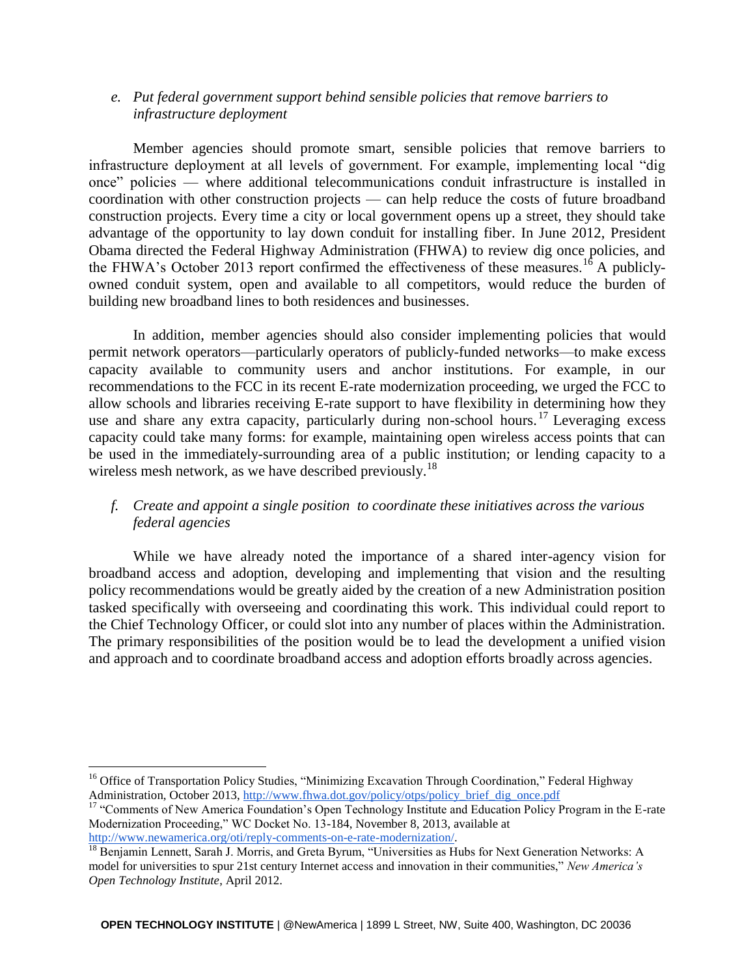# *e. Put federal government support behind sensible policies that remove barriers to infrastructure deployment*

Member agencies should promote smart, sensible policies that remove barriers to infrastructure deployment at all levels of government. For example, implementing local "dig once" policies — where additional telecommunications conduit infrastructure is installed in coordination with other construction projects — can help reduce the costs of future broadband construction projects. Every time a city or local government opens up a street, they should take advantage of the opportunity to lay down conduit for installing fiber. In June 2012, President Obama directed the Federal Highway Administration (FHWA) to review dig once policies, and the FHWA's October 2013 report confirmed the effectiveness of these measures.<sup>16</sup> A publiclyowned conduit system, open and available to all competitors, would reduce the burden of building new broadband lines to both residences and businesses.

In addition, member agencies should also consider implementing policies that would permit network operators—particularly operators of publicly-funded networks—to make excess capacity available to community users and anchor institutions. For example, in our recommendations to the FCC in its recent E-rate modernization proceeding, we urged the FCC to allow schools and libraries receiving E-rate support to have flexibility in determining how they use and share any extra capacity, particularly during non-school hours.<sup>17</sup> Leveraging excess capacity could take many forms: for example, maintaining open wireless access points that can be used in the immediately-surrounding area of a public institution; or lending capacity to a wireless mesh network, as we have described previously.<sup>18</sup>

# *f. Create and appoint a single position to coordinate these initiatives across the various federal agencies*

While we have already noted the importance of a shared inter-agency vision for broadband access and adoption, developing and implementing that vision and the resulting policy recommendations would be greatly aided by the creation of a new Administration position tasked specifically with overseeing and coordinating this work. This individual could report to the Chief Technology Officer, or could slot into any number of places within the Administration. The primary responsibilities of the position would be to lead the development a unified vision and approach and to coordinate broadband access and adoption efforts broadly across agencies.

<sup>&</sup>lt;sup>16</sup> Office of Transportation Policy Studies, "Minimizing Excavation Through Coordination," Federal Highway Administration, October 2013, [http://www.fhwa.dot.gov/policy/otps/policy\\_brief\\_dig\\_once.pdf](http://www.fhwa.dot.gov/policy/otps/policy_brief_dig_once.pdf)

<sup>&</sup>lt;sup>17</sup> "Comments of New America Foundation's Open Technology Institute and Education Policy Program in the E-rate Modernization Proceeding," WC Docket No. 13-184, November 8, 2013, available at [http://www.newamerica.org/oti/reply-comments-on-e-rate-modernization/.](http://www.newamerica.org/oti/reply-comments-on-e-rate-modernization/)

<sup>&</sup>lt;sup>18</sup> Benjamin Lennett, Sarah J. Morris, and Greta Byrum, "Universities as Hubs for Next Generation Networks: A model for universities to spur 21st century Internet access and innovation in their communities," *New America's Open Technology Institute*, April 2012.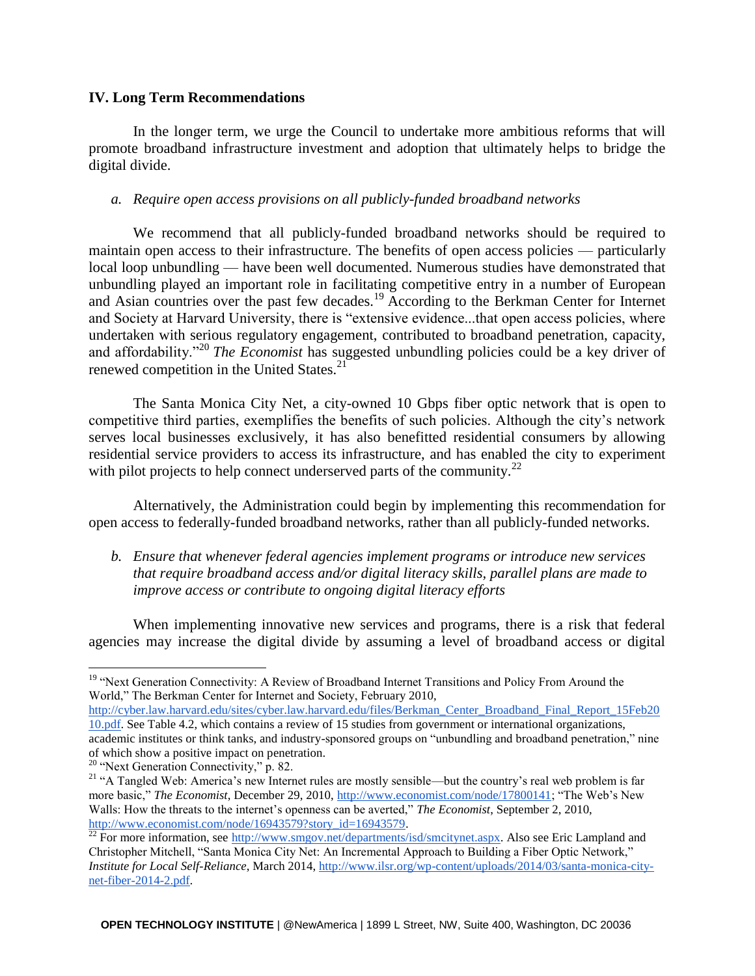### **IV. Long Term Recommendations**

In the longer term, we urge the Council to undertake more ambitious reforms that will promote broadband infrastructure investment and adoption that ultimately helps to bridge the digital divide.

## *a. Require open access provisions on all publicly-funded broadband networks*

We recommend that all publicly-funded broadband networks should be required to maintain open access to their infrastructure. The benefits of open access policies — particularly local loop unbundling — have been well documented. Numerous studies have demonstrated that unbundling played an important role in facilitating competitive entry in a number of European and Asian countries over the past few decades.<sup>19</sup> According to the Berkman Center for Internet and Society at Harvard University, there is "extensive evidence...that open access policies, where undertaken with serious regulatory engagement, contributed to broadband penetration, capacity, and affordability."<sup>20</sup> *The Economist* has suggested unbundling policies could be a key driver of renewed competition in the United States.<sup>21</sup>

The Santa Monica City Net, a city-owned 10 Gbps fiber optic network that is open to competitive third parties, exemplifies the benefits of such policies. Although the city's network serves local businesses exclusively, it has also benefitted residential consumers by allowing residential service providers to access its infrastructure, and has enabled the city to experiment with pilot projects to help connect underserved parts of the community.<sup>22</sup>

Alternatively, the Administration could begin by implementing this recommendation for open access to federally-funded broadband networks, rather than all publicly-funded networks.

*b. Ensure that whenever federal agencies implement programs or introduce new services that require broadband access and/or digital literacy skills, parallel plans are made to improve access or contribute to ongoing digital literacy efforts*

When implementing innovative new services and programs, there is a risk that federal agencies may increase the digital divide by assuming a level of broadband access or digital

<sup>&</sup>lt;sup>19</sup> "Next Generation Connectivity: A Review of Broadband Internet Transitions and Policy From Around the World," The Berkman Center for Internet and Society, February 2010,

[http://cyber.law.harvard.edu/sites/cyber.law.harvard.edu/files/Berkman\\_Center\\_Broadband\\_Final\\_Report\\_15Feb20](http://cyber.law.harvard.edu/sites/cyber.law.harvard.edu/files/Berkman_Center_Broadband_Final_Report_15Feb2010.pdf) [10.pdf.](http://cyber.law.harvard.edu/sites/cyber.law.harvard.edu/files/Berkman_Center_Broadband_Final_Report_15Feb2010.pdf) See Table 4.2, which contains a review of 15 studies from government or international organizations, academic institutes or think tanks, and industry-sponsored groups on "unbundling and broadband penetration," nine of which show a positive impact on penetration.

<sup>&</sup>lt;sup>20</sup> "Next Generation Connectivity," p. 82.

<sup>&</sup>lt;sup>21</sup> "A Tangled Web: America's new Internet rules are mostly sensible—but the country's real web problem is far more basic," *The Economist*, December 29, 2010, [http://www.economist.com/node/17800141;](http://www.economist.com/node/17800141) "The Web's New Walls: How the threats to the internet's openness can be averted," *The Economist*, September 2, 2010, [http://www.economist.com/node/16943579?story\\_id=16943579.](http://www.economist.com/node/16943579?story_id=16943579)

 $\frac{22}{2}$  For more information, see [http://www.smgov.net/departments/isd/smcitynet.aspx.](http://www.smgov.net/departments/isd/smcitynet.aspx) Also see Eric Lampland and Christopher Mitchell, "Santa Monica City Net: An Incremental Approach to Building a Fiber Optic Network," *Institute for Local Self-Reliance*, March 2014[, http://www.ilsr.org/wp-content/uploads/2014/03/santa-monica-city](http://www.ilsr.org/wp-content/uploads/2014/03/santa-monica-city-net-fiber-2014-2.pdf)[net-fiber-2014-2.pdf.](http://www.ilsr.org/wp-content/uploads/2014/03/santa-monica-city-net-fiber-2014-2.pdf)